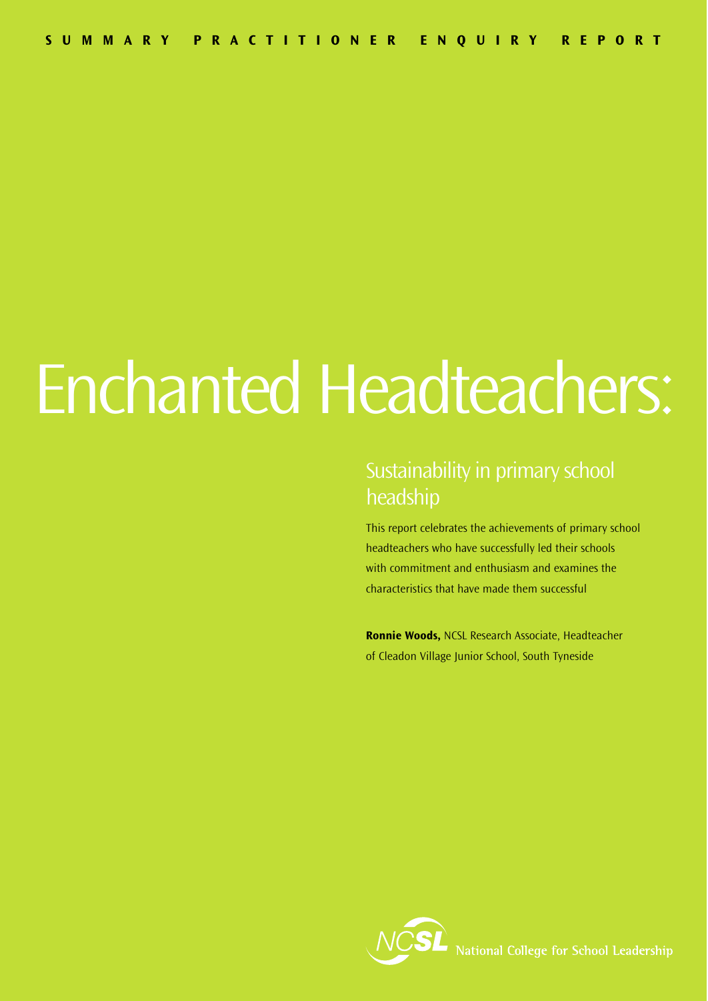# Enchanted Headteachers:

### Sustainability in primary school headship

This report celebrates the achievements of primary school headteachers who have successfully led their schools with commitment and enthusiasm and examines the characteristics that have made them successful

**Ronnie Woods,** NCSL Research Associate, Headteacher of Cleadon Village Junior School, South Tyneside

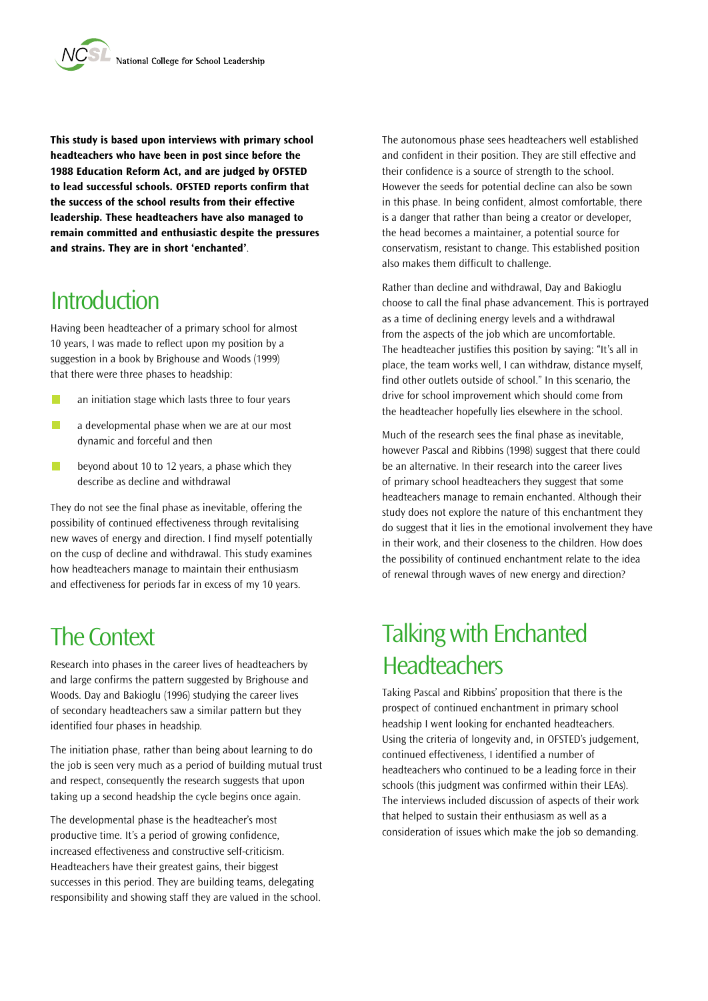**This study is based upon interviews with primary school headteachers who have been in post since before the 1988 Education Reform Act, and are judged by OFSTED to lead successful schools. OFSTED reports confirm that the success of the school results from their effective leadership. These headteachers have also managed to remain committed and enthusiastic despite the pressures and strains. They are in short 'enchanted'**.

### **Introduction**

Having been headteacher of a primary school for almost 10 years, I was made to reflect upon my position by a suggestion in a book by Brighouse and Woods (1999) that there were three phases to headship:

- $\mathcal{L}_{\mathcal{A}}$ an initiation stage which lasts three to four years
- $\overline{\mathbb{R}^n}$ a developmental phase when we are at our most dynamic and forceful and then
- $\overline{\mathbb{R}^n}$ beyond about 10 to 12 years, a phase which they describe as decline and withdrawal

They do not see the final phase as inevitable, offering the possibility of continued effectiveness through revitalising new waves of energy and direction. I find myself potentially on the cusp of decline and withdrawal. This study examines how headteachers manage to maintain their enthusiasm and effectiveness for periods far in excess of my 10 years.

#### The Context

Research into phases in the career lives of headteachers by and large confirms the pattern suggested by Brighouse and Woods. Day and Bakioglu (1996) studying the career lives of secondary headteachers saw a similar pattern but they identified four phases in headship.

The initiation phase, rather than being about learning to do the job is seen very much as a period of building mutual trust and respect, consequently the research suggests that upon taking up a second headship the cycle begins once again.

The developmental phase is the headteacher's most productive time. It's a period of growing confidence, increased effectiveness and constructive self-criticism. Headteachers have their greatest gains, their biggest successes in this period. They are building teams, delegating responsibility and showing staff they are valued in the school. The autonomous phase sees headteachers well established and confident in their position. They are still effective and their confidence is a source of strength to the school. However the seeds for potential decline can also be sown in this phase. In being confident, almost comfortable, there is a danger that rather than being a creator or developer, the head becomes a maintainer, a potential source for conservatism, resistant to change. This established position also makes them difficult to challenge.

Rather than decline and withdrawal, Day and Bakioglu choose to call the final phase advancement. This is portrayed as a time of declining energy levels and a withdrawal from the aspects of the job which are uncomfortable. The headteacher justifies this position by saying: "It's all in place, the team works well, I can withdraw, distance myself, find other outlets outside of school." In this scenario, the drive for school improvement which should come from the headteacher hopefully lies elsewhere in the school.

Much of the research sees the final phase as inevitable, however Pascal and Ribbins (1998) suggest that there could be an alternative. In their research into the career lives of primary school headteachers they suggest that some headteachers manage to remain enchanted. Although their study does not explore the nature of this enchantment they do suggest that it lies in the emotional involvement they have in their work, and their closeness to the children. How does the possibility of continued enchantment relate to the idea of renewal through waves of new energy and direction?

## Talking with Enchanted **Headteachers**

Taking Pascal and Ribbins' proposition that there is the prospect of continued enchantment in primary school headship I went looking for enchanted headteachers. Using the criteria of longevity and, in OFSTED's judgement, continued effectiveness, I identified a number of headteachers who continued to be a leading force in their schools (this judgment was confirmed within their LEAs). The interviews included discussion of aspects of their work that helped to sustain their enthusiasm as well as a consideration of issues which make the job so demanding.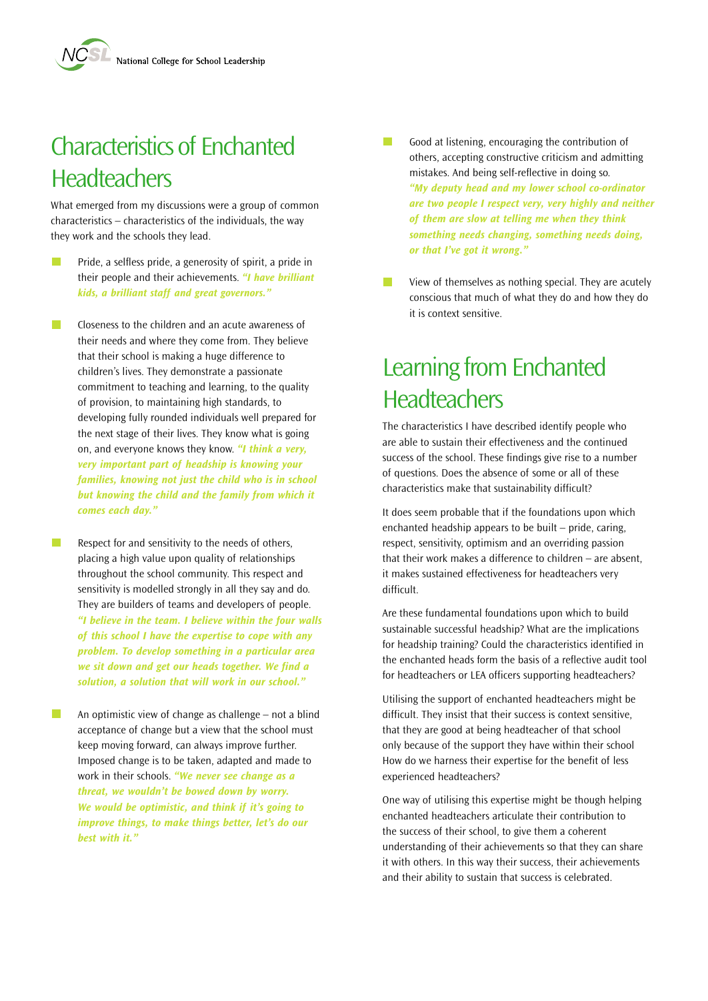# Characteristics of Enchanted **Headteachers**

What emerged from my discussions were a group of common characteristics – characteristics of the individuals, the way they work and the schools they lead.

- $\mathcal{L}^{\text{max}}$ Pride, a selfless pride, a generosity of spirit, a pride in their people and their achievements. *"I have brilliant kids, a brilliant staff and great governors."*
- r. Closeness to the children and an acute awareness of their needs and where they come from. They believe that their school is making a huge difference to children's lives. They demonstrate a passionate commitment to teaching and learning, to the quality of provision, to maintaining high standards, to developing fully rounded individuals well prepared for the next stage of their lives. They know what is going on, and everyone knows they know. *"I think a very, very important part of headship is knowing your families, knowing not just the child who is in school but knowing the child and the family from which it comes each day."*

 $\sim$ 

Respect for and sensitivity to the needs of others, placing a high value upon quality of relationships throughout the school community. This respect and sensitivity is modelled strongly in all they say and do. They are builders of teams and developers of people. *"I believe in the team. I believe within the four walls of this school I have the expertise to cope with any problem. To develop something in a particular area we sit down and get our heads together. We find a solution, a solution that will work in our school."*

An optimistic view of change as challenge – not a blind acceptance of change but a view that the school must keep moving forward, can always improve further. Imposed change is to be taken, adapted and made to work in their schools. *"We never see change as a threat, we wouldn't be bowed down by worry. We would be optimistic, and think if it's going to improve things, to make things better, let's do our best with it."*

- Good at listening, encouraging the contribution of **The State** others, accepting constructive criticism and admitting mistakes. And being self-reflective in doing so. *"My deputy head and my lower school co-ordinator are two people I respect very, very highly and neither of them are slow at telling me when they think something needs changing, something needs doing, or that I've got it wrong."*
- $\mathcal{L}^{\text{max}}$ View of themselves as nothing special. They are acutely conscious that much of what they do and how they do it is context sensitive.

## Learning from Enchanted **Headteachers**

The characteristics I have described identify people who are able to sustain their effectiveness and the continued success of the school. These findings give rise to a number of questions. Does the absence of some or all of these characteristics make that sustainability difficult?

It does seem probable that if the foundations upon which enchanted headship appears to be built – pride, caring, respect, sensitivity, optimism and an overriding passion that their work makes a difference to children – are absent, it makes sustained effectiveness for headteachers very difficult.

Are these fundamental foundations upon which to build sustainable successful headship? What are the implications for headship training? Could the characteristics identified in the enchanted heads form the basis of a reflective audit tool for headteachers or LEA officers supporting headteachers?

Utilising the support of enchanted headteachers might be difficult. They insist that their success is context sensitive, that they are good at being headteacher of that school only because of the support they have within their school How do we harness their expertise for the benefit of less experienced headteachers?

One way of utilising this expertise might be though helping enchanted headteachers articulate their contribution to the success of their school, to give them a coherent understanding of their achievements so that they can share it with others. In this way their success, their achievements and their ability to sustain that success is celebrated.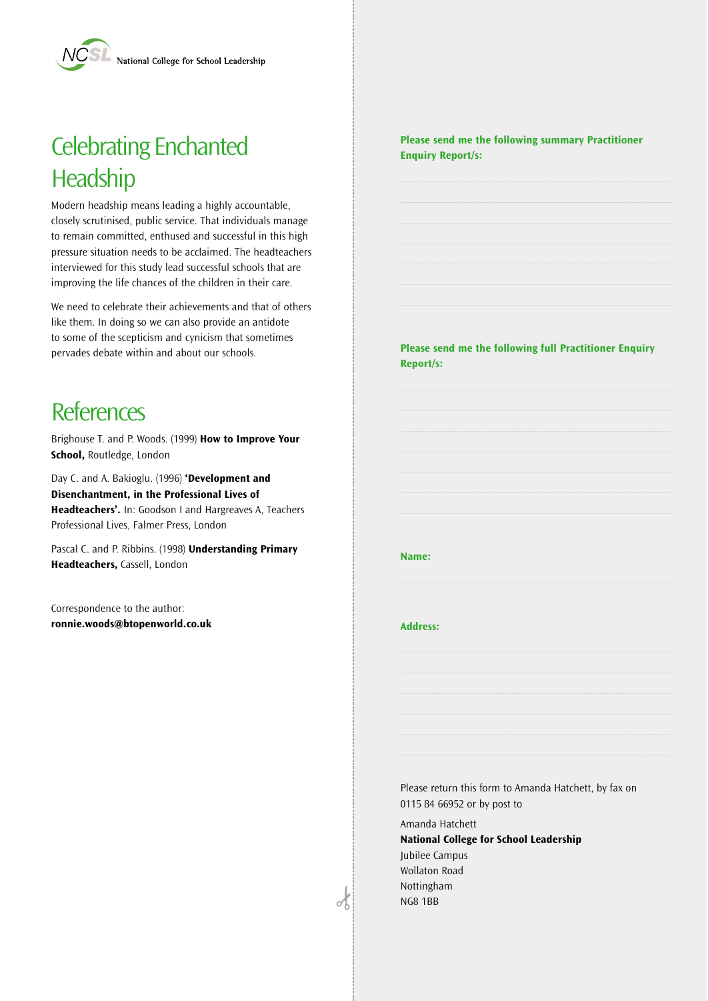# Celebrating Enchanted **Headship**

Modern headship means leading a highly accountable, closely scrutinised, public service. That individuals manage to remain committed, enthused and successful in this high pressure situation needs to be acclaimed. The headteachers interviewed for this study lead successful schools that are improving the life chances of the children in their care.

We need to celebrate their achievements and that of others like them. In doing so we can also provide an antidote to some of the scepticism and cynicism that sometimes pervades debate within and about our schools.

#### **References**

Brighouse T. and P. Woods. (1999) **How to Improve Your School,** Routledge, London

Day C. and A. Bakioglu. (1996) **'Development and Disenchantment, in the Professional Lives of Headteachers'.** In: Goodson I and Hargreaves A, Teachers Professional Lives, Falmer Press, London

Pascal C. and P. Ribbins. (1998) **Understanding Primary Headteachers,** Cassell, London

Correspondence to the author: **ronnie.woods@btopenworld.co.uk** **Please send me the following summary Practitioner Enquiry Report/s:**

**Please send me the following full Practitioner Enquiry Report/s:**

#### **Name:**

#### **Address:**

Please return this form to Amanda Hatchett, by fax on 0115 84 66952 or by post to

Amanda Hatchett **National College for School Leadership** Jubilee Campus Wollaton Road **Nottingham** NG8 1BB

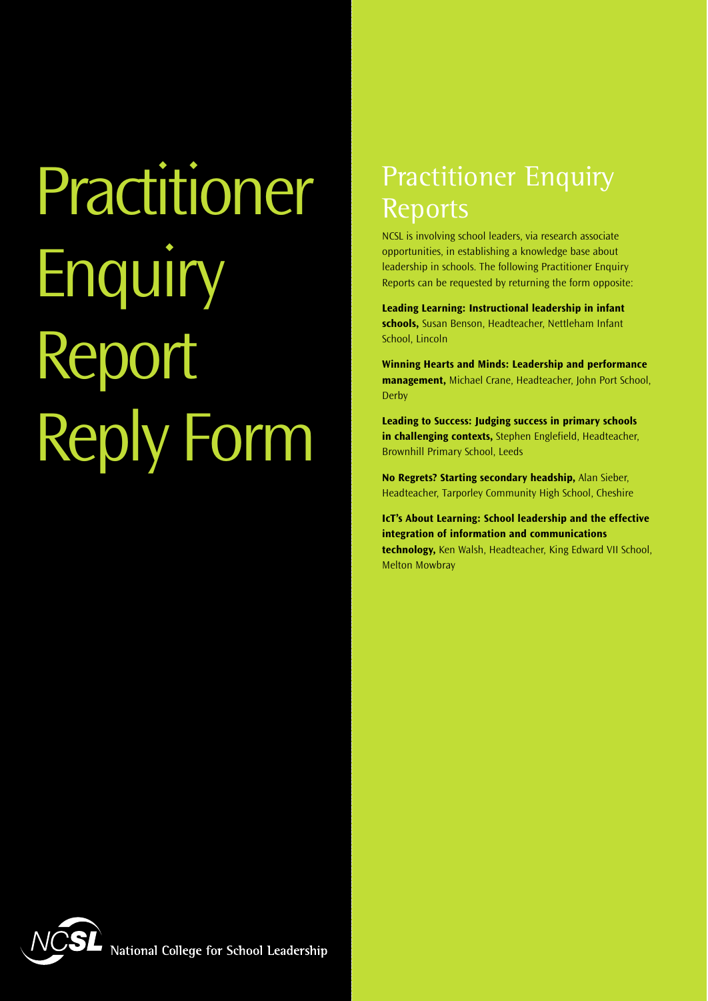Practitioner **Enquiry** Report Reply Form

# **Practitioner Enquiry** Reports

NCSL is involving school leaders, via research associate opportunities, in establishing a knowledge base about leadership in schools. The following Practitioner Enquiry Reports can be requested by returning the form opposite:

**Leading Learning: Instructional leadership in infant schools,** Susan Benson, Headteacher, Nettleham Infant School, Lincoln

**Winning Hearts and Minds: Leadership and performance management,** Michael Crane, Headteacher, John Port School, Derby

**Leading to Success: Judging success in primary schools in challenging contexts,** Stephen Englefield, Headteacher, Brownhill Primary School, Leeds

**No Regrets? Starting secondary headship,** Alan Sieber, Headteacher, Tarporley Community High School, Cheshire

**IcT's About Learning: School leadership and the effective integration of information and communications**

**technology,** Ken Walsh, Headteacher, King Edward VII School, Melton Mowbray



National College for School Leadership